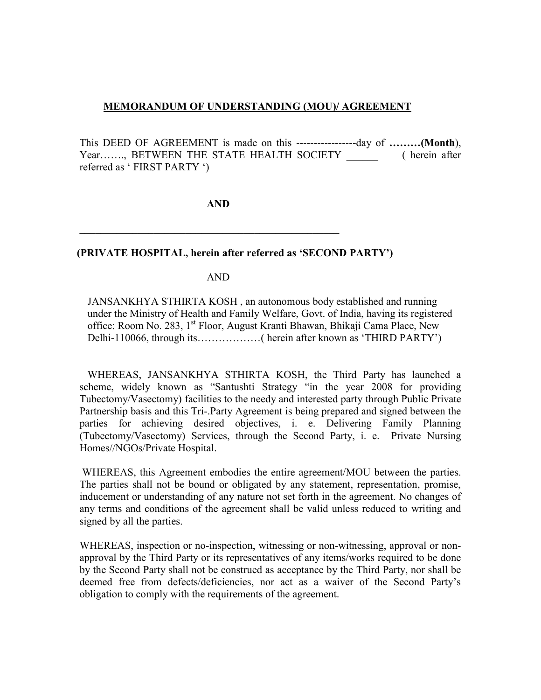## **MEMORANDUM OF UNDERSTANDING (MOU)/ AGREEMENT**

This DEED OF AGREEMENT is made on this -----------------day of **………(Month**), Year……., BETWEEN THE STATE HEALTH SOCIETY \_\_\_\_\_\_\_\_\_ ( herein after referred as ' FIRST PARTY ')

**AND** 

 $\mathcal{L}_\text{max}$  , and the contract of the contract of the contract of the contract of the contract of the contract of the contract of the contract of the contract of the contract of the contract of the contract of the contr

## **(PRIVATE HOSPITAL, herein after referred as 'SECOND PARTY')**

AND

JANSANKHYA STHIRTA KOSH , an autonomous body established and running under the Ministry of Health and Family Welfare, Govt. of India, having its registered office: Room No. 283, 1st Floor, August Kranti Bhawan, Bhikaji Cama Place, New Delhi-110066, through its………………( herein after known as 'THIRD PARTY')

WHEREAS, JANSANKHYA STHIRTA KOSH, the Third Party has launched a scheme, widely known as "Santushti Strategy "in the year 2008 for providing Tubectomy/Vasectomy) facilities to the needy and interested party through Public Private Partnership basis and this Tri-.Party Agreement is being prepared and signed between the parties for achieving desired objectives, i. e. Delivering Family Planning (Tubectomy/Vasectomy) Services, through the Second Party, i. e. Private Nursing Homes//NGOs/Private Hospital.

WHEREAS, this Agreement embodies the entire agreement/MOU between the parties. The parties shall not be bound or obligated by any statement, representation, promise, inducement or understanding of any nature not set forth in the agreement. No changes of any terms and conditions of the agreement shall be valid unless reduced to writing and signed by all the parties.

WHEREAS, inspection or no-inspection, witnessing or non-witnessing, approval or nonapproval by the Third Party or its representatives of any items/works required to be done by the Second Party shall not be construed as acceptance by the Third Party, nor shall be deemed free from defects/deficiencies, nor act as a waiver of the Second Party's obligation to comply with the requirements of the agreement.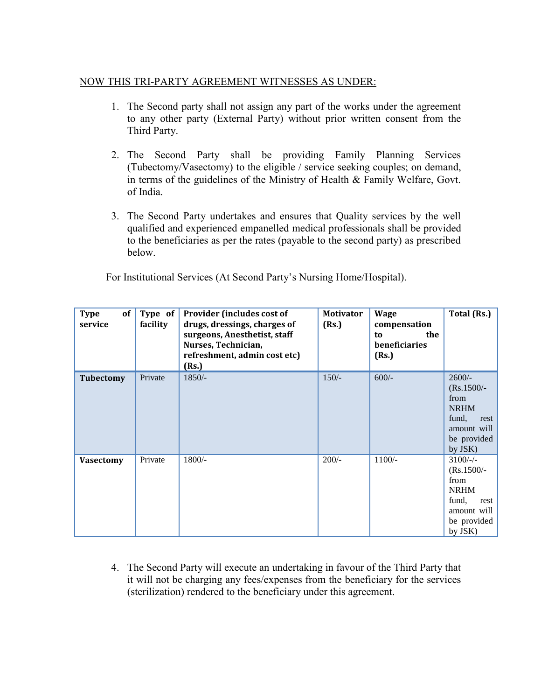## NOW THIS TRI-PARTY AGREEMENT WITNESSES AS UNDER:

- 1. The Second party shall not assign any part of the works under the agreement to any other party (External Party) without prior written consent from the Third Party.
- 2. The Second Party shall be providing Family Planning Services (Tubectomy/Vasectomy) to the eligible / service seeking couples; on demand, in terms of the guidelines of the Ministry of Health & Family Welfare, Govt. of India.
- 3. The Second Party undertakes and ensures that Quality services by the well qualified and experienced empanelled medical professionals shall be provided to the beneficiaries as per the rates (payable to the second party) as prescribed below.

For Institutional Services (At Second Party's Nursing Home/Hospital).

| of<br><b>Type</b><br>service | Type of<br>facility | Provider (includes cost of<br>drugs, dressings, charges of<br>surgeons, Anesthetist, staff<br>Nurses, Technician,<br>refreshment, admin cost etc)<br>(Rs.) | <b>Motivator</b><br>(Rs.) | <b>Wage</b><br>compensation<br>the<br>to<br><b>beneficiaries</b><br>(Rs.) | Total (Rs.)                                                                                               |
|------------------------------|---------------------|------------------------------------------------------------------------------------------------------------------------------------------------------------|---------------------------|---------------------------------------------------------------------------|-----------------------------------------------------------------------------------------------------------|
| <b>Tubectomy</b>             | Private             | $1850/-$                                                                                                                                                   | $150/-$                   | $600/-$                                                                   | $2600/-$<br>$(Rs.1500/-$<br>from<br><b>NRHM</b><br>fund,<br>rest<br>amount will<br>be provided<br>by JSK) |
| <b>Vasectomy</b>             | Private             | $1800/-$                                                                                                                                                   | $200/-$                   | $1100/-$                                                                  | $3100/-$<br>$(Rs.1500/-$<br>from<br><b>NRHM</b><br>fund,<br>rest<br>amount will<br>be provided<br>by JSK) |

4. The Second Party will execute an undertaking in favour of the Third Party that it will not be charging any fees/expenses from the beneficiary for the services (sterilization) rendered to the beneficiary under this agreement.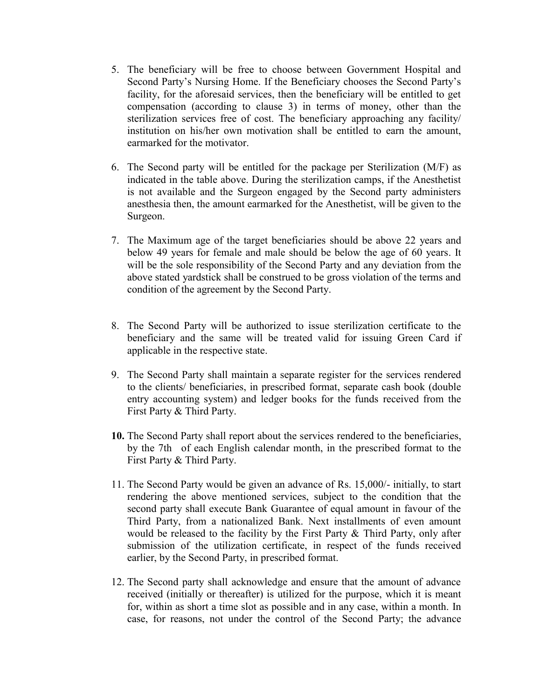- 5. The beneficiary will be free to choose between Government Hospital and Second Party's Nursing Home. If the Beneficiary chooses the Second Party's facility, for the aforesaid services, then the beneficiary will be entitled to get compensation (according to clause 3) in terms of money, other than the sterilization services free of cost. The beneficiary approaching any facility/ institution on his/her own motivation shall be entitled to earn the amount, earmarked for the motivator.
- 6. The Second party will be entitled for the package per Sterilization (M/F) as indicated in the table above. During the sterilization camps, if the Anesthetist is not available and the Surgeon engaged by the Second party administers anesthesia then, the amount earmarked for the Anesthetist, will be given to the Surgeon.
- 7. The Maximum age of the target beneficiaries should be above 22 years and below 49 years for female and male should be below the age of 60 years. It will be the sole responsibility of the Second Party and any deviation from the above stated yardstick shall be construed to be gross violation of the terms and condition of the agreement by the Second Party.
- 8. The Second Party will be authorized to issue sterilization certificate to the beneficiary and the same will be treated valid for issuing Green Card if applicable in the respective state.
- 9. The Second Party shall maintain a separate register for the services rendered to the clients/ beneficiaries, in prescribed format, separate cash book (double entry accounting system) and ledger books for the funds received from the First Party & Third Party.
- **10.** The Second Party shall report about the services rendered to the beneficiaries, by the 7th of each English calendar month, in the prescribed format to the First Party & Third Party.
- 11. The Second Party would be given an advance of Rs. 15,000/- initially, to start rendering the above mentioned services, subject to the condition that the second party shall execute Bank Guarantee of equal amount in favour of the Third Party, from a nationalized Bank. Next installments of even amount would be released to the facility by the First Party & Third Party, only after submission of the utilization certificate, in respect of the funds received earlier, by the Second Party, in prescribed format.
- 12. The Second party shall acknowledge and ensure that the amount of advance received (initially or thereafter) is utilized for the purpose, which it is meant for, within as short a time slot as possible and in any case, within a month. In case, for reasons, not under the control of the Second Party; the advance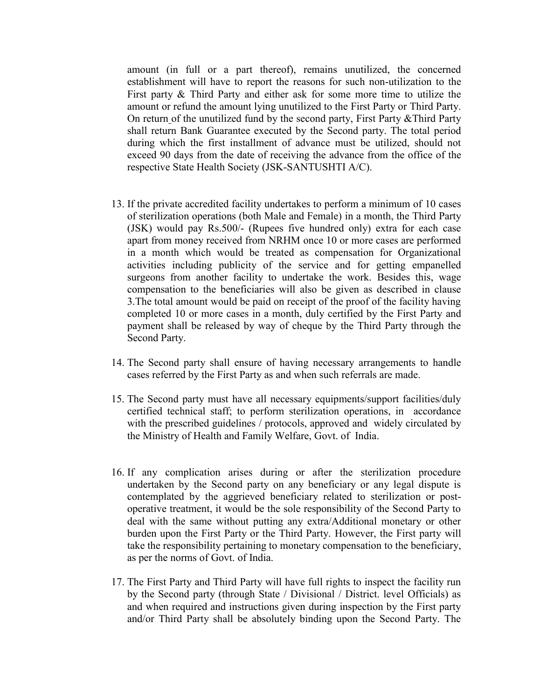amount (in full or a part thereof), remains unutilized, the concerned establishment will have to report the reasons for such non-utilization to the First party & Third Party and either ask for some more time to utilize the amount or refund the amount lying unutilized to the First Party or Third Party. On return of the unutilized fund by the second party, First Party &Third Party shall return Bank Guarantee executed by the Second party. The total period during which the first installment of advance must be utilized, should not exceed 90 days from the date of receiving the advance from the office of the respective State Health Society (JSK-SANTUSHTI A/C).

- 13. If the private accredited facility undertakes to perform a minimum of 10 cases of sterilization operations (both Male and Female) in a month, the Third Party (JSK) would pay Rs.500/- (Rupees five hundred only) extra for each case apart from money received from NRHM once 10 or more cases are performed in a month which would be treated as compensation for Organizational activities including publicity of the service and for getting empanelled surgeons from another facility to undertake the work. Besides this, wage compensation to the beneficiaries will also be given as described in clause 3.The total amount would be paid on receipt of the proof of the facility having completed 10 or more cases in a month, duly certified by the First Party and payment shall be released by way of cheque by the Third Party through the Second Party.
- 14. The Second party shall ensure of having necessary arrangements to handle cases referred by the First Party as and when such referrals are made.
- 15. The Second party must have all necessary equipments/support facilities/duly certified technical staff; to perform sterilization operations, in accordance with the prescribed guidelines / protocols, approved and widely circulated by the Ministry of Health and Family Welfare, Govt. of India.
- 16. If any complication arises during or after the sterilization procedure undertaken by the Second party on any beneficiary or any legal dispute is contemplated by the aggrieved beneficiary related to sterilization or postoperative treatment, it would be the sole responsibility of the Second Party to deal with the same without putting any extra/Additional monetary or other burden upon the First Party or the Third Party. However, the First party will take the responsibility pertaining to monetary compensation to the beneficiary, as per the norms of Govt. of India.
- 17. The First Party and Third Party will have full rights to inspect the facility run by the Second party (through State / Divisional / District. level Officials) as and when required and instructions given during inspection by the First party and/or Third Party shall be absolutely binding upon the Second Party. The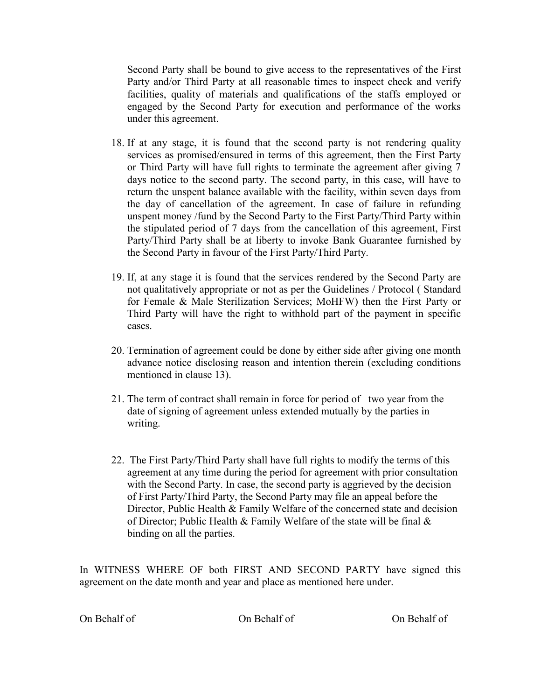Second Party shall be bound to give access to the representatives of the First Party and/or Third Party at all reasonable times to inspect check and verify facilities, quality of materials and qualifications of the staffs employed or engaged by the Second Party for execution and performance of the works under this agreement.

- 18. If at any stage, it is found that the second party is not rendering quality services as promised/ensured in terms of this agreement, then the First Party or Third Party will have full rights to terminate the agreement after giving 7 days notice to the second party. The second party, in this case, will have to return the unspent balance available with the facility, within seven days from the day of cancellation of the agreement. In case of failure in refunding unspent money /fund by the Second Party to the First Party/Third Party within the stipulated period of 7 days from the cancellation of this agreement, First Party/Third Party shall be at liberty to invoke Bank Guarantee furnished by the Second Party in favour of the First Party/Third Party.
- 19. If, at any stage it is found that the services rendered by the Second Party are not qualitatively appropriate or not as per the Guidelines / Protocol ( Standard for Female & Male Sterilization Services; MoHFW) then the First Party or Third Party will have the right to withhold part of the payment in specific cases.
- 20. Termination of agreement could be done by either side after giving one month advance notice disclosing reason and intention therein (excluding conditions mentioned in clause 13).
- 21. The term of contract shall remain in force for period of two year from the date of signing of agreement unless extended mutually by the parties in writing.
- 22. The First Party/Third Party shall have full rights to modify the terms of this agreement at any time during the period for agreement with prior consultation with the Second Party. In case, the second party is aggrieved by the decision of First Party/Third Party, the Second Party may file an appeal before the Director, Public Health & Family Welfare of the concerned state and decision of Director; Public Health  $\&$  Family Welfare of the state will be final  $\&$ binding on all the parties.

In WITNESS WHERE OF both FIRST AND SECOND PARTY have signed this agreement on the date month and year and place as mentioned here under.